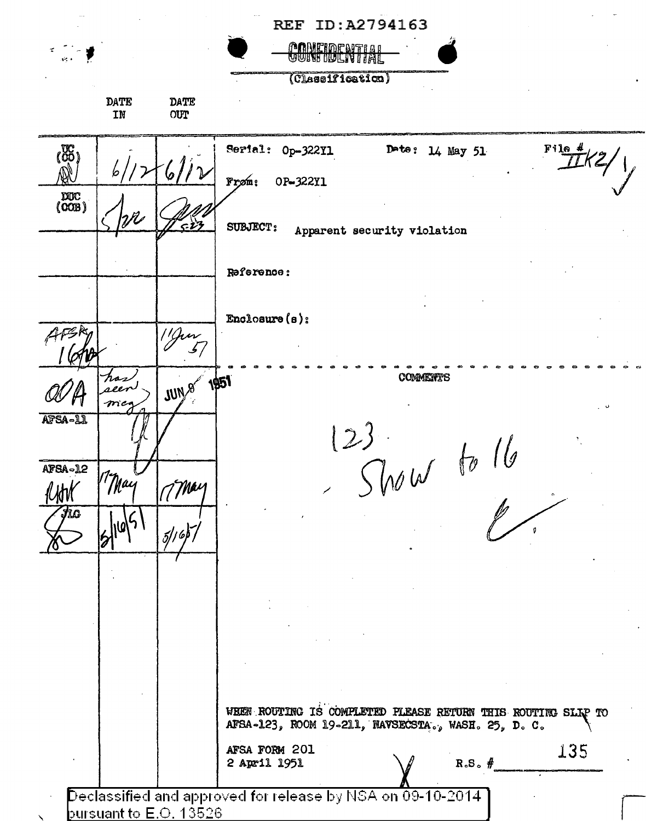|                                                                                                            |                    |             | REF ID:A2794163                                                                                                    |
|------------------------------------------------------------------------------------------------------------|--------------------|-------------|--------------------------------------------------------------------------------------------------------------------|
| والجو                                                                                                      |                    |             | <u>PONETOPNETAL</u>                                                                                                |
|                                                                                                            |                    |             | (Classification)                                                                                                   |
|                                                                                                            | DATE<br>IN         | DATE<br>OUT |                                                                                                                    |
| (85)                                                                                                       |                    |             | Serial: Op-322Y1<br>Date: $14$ May 51<br>$F116$ #<br>Frøm:<br>OP-322Y1                                             |
| $\begin{pmatrix} 2000 \\ 000B \end{pmatrix}$                                                               | $\mathcal{W}$      | تغء         | <b>SUBJECT:</b><br>Apparent security violation                                                                     |
|                                                                                                            |                    |             | Reference:                                                                                                         |
|                                                                                                            |                    |             | Enclosure $(e)$ :                                                                                                  |
|                                                                                                            |                    | 11 Jun      |                                                                                                                    |
|                                                                                                            | hos<br>seer<br>meq | JUN 8 1951  | COMMENTS                                                                                                           |
| AFSA-11<br>AFSA-12                                                                                         | مساح               |             |                                                                                                                    |
| Jic                                                                                                        | May                | Mai         | Show                                                                                                               |
|                                                                                                            |                    | 5/16        |                                                                                                                    |
|                                                                                                            |                    |             |                                                                                                                    |
|                                                                                                            |                    |             |                                                                                                                    |
|                                                                                                            |                    |             |                                                                                                                    |
|                                                                                                            |                    |             | WHEN ROUTING IS COMPLETED PLEASE RETURN THIS ROUTING SLIP TO<br>AFSA-123, ROOM 19-211, NAVSECSTA., WASH. 25, D. C. |
|                                                                                                            |                    |             | AFSA FORM 201<br>135<br>$R.S.$ #<br>2 April 1951                                                                   |
| Declassified and approved for release by NSA on 09-10-2014.<br>bursuant to $\mathsf{E}.\mathsf{O}.$ 13526. |                    |             |                                                                                                                    |

<u>pursuant to E.O. 13526</u>

 $\bar{\mathbf{X}}$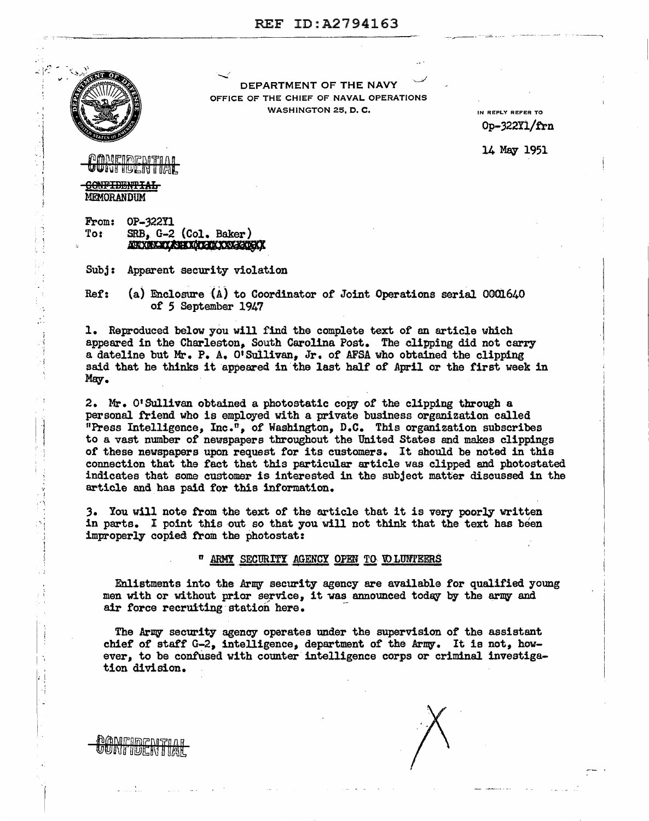

' ' <sup>~</sup>{ l ·] .. 1 ·. I  $\begin{bmatrix} 1 \\ 2 \\ 3 \\ 4 \end{bmatrix}$ 

1· I

 $\frac{1}{\sqrt{2}}$ 

la de la partir de la partir de la partir de la partir de la partir de la partir de la partir de la partir de<br>La partir de la partir de la partir de la partir de la partir de la partir de la partir de la partir de la par

... . I

> ·., I

 $\mathbf{r}$ '  $\ddot{\phantom{1}}$ , ·i

 $\mathbf{r}$ 

**DANIEIDIENTEI** UNTIUCNTIAL

DEPARTMENT OF THE NAVY OFFICE OF THE CHIEF OF NAVAL OPERATIONS WASHINGTON 25, D. C.

IN REPLY REFER TO 0p-322n/trn

14 May 1951

## MAICIPEAITIA **ganti incia inte**

**GONFIDENTIAL** MEMORANDUM

**From: 0P-322Y1**<br>To: SRB, G-2 SRB, G-2 (Col. Baker)<br>MAXAMAXAXAXAXAXAXAXAX

Subj: Apparent security violation

Ref: (a) Enclosure (A) to Coordinator of Joint Operations serial  $0001640$ of 5 September 1947

1. Reproduced below you will find the complete text of an article which appeared in the Charleston, South Carolina Post. The clipping did not carry a dateline but Mr. P. A. O'Sullivan, Jr. of AFSA who obtained the clipping said that he thinks it appeared in the last half of April or the first week in Mey.

2. Mr. 0 <sup>1</sup>Sullivan obtained a photostatic copy of the clipping through a personal friend who is employed with a private business organization called "Press Intelligence, Inc.", of Washington, D.C. This organization subscribes to a vast number of newspapers throughout the United States and makes clippings of these newspapers upon request for its customers. It should be noted in this connection that the fact that this particular article was clipped and photostated indicates that some customer is interested in the subject matter discussed in the article and has paid for this information.

3. You will note from the text of the article that it is very poorly written in parts. I point this out so that you will not think that the text has been improperly copied trom the photostat:

" ARMY SECURITY AGENCY OPEN TO WLUNTEERS

Enlistments into the Army security agency are available for qualified young men with or without prior service, it was announced today by the army and air force recruiting station here.

The Army security agency operates under the supervision of the assistant chief of staff  $G-2$ , intelligence, department of the Army. It is not, however, to be confused with counter intelligence corps or criminal investigation division.